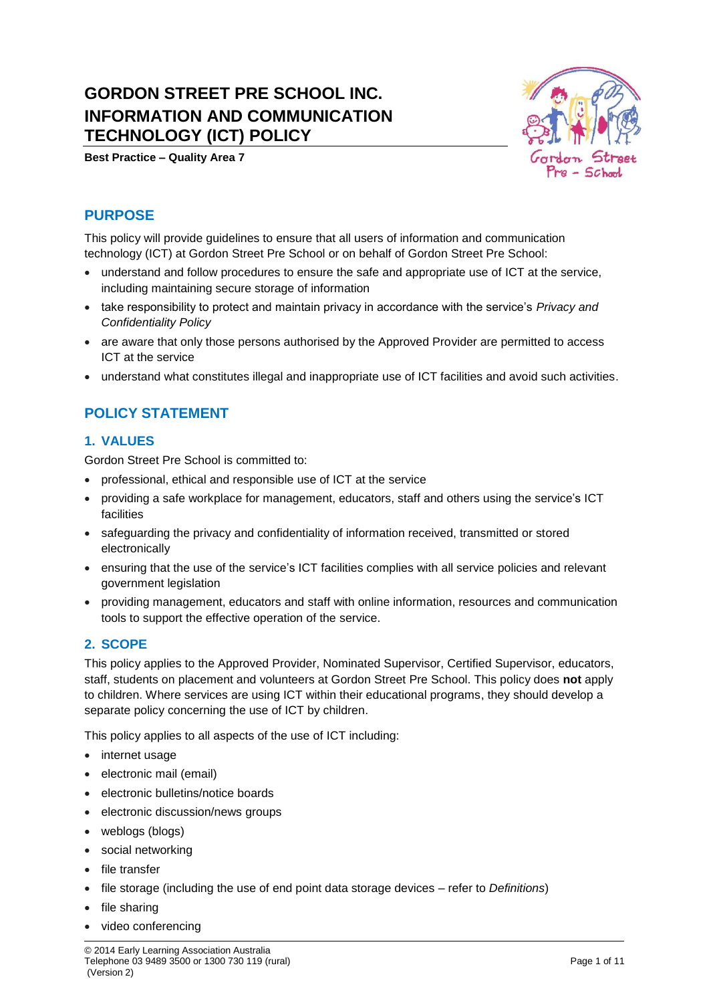# **GORDON STREET PRE SCHOOL INC. INFORMATION AND COMMUNICATION TECHNOLOGY (ICT) POLICY**





# **PURPOSE**

This policy will provide guidelines to ensure that all users of information and communication technology (ICT) at Gordon Street Pre School or on behalf of Gordon Street Pre School:

- understand and follow procedures to ensure the safe and appropriate use of ICT at the service, including maintaining secure storage of information
- take responsibility to protect and maintain privacy in accordance with the service's *Privacy and Confidentiality Policy*
- are aware that only those persons authorised by the Approved Provider are permitted to access ICT at the service
- understand what constitutes illegal and inappropriate use of ICT facilities and avoid such activities.

# **POLICY STATEMENT**

### **1. VALUES**

Gordon Street Pre School is committed to:

- professional, ethical and responsible use of ICT at the service
- providing a safe workplace for management, educators, staff and others using the service's ICT facilities
- safeguarding the privacy and confidentiality of information received, transmitted or stored electronically
- ensuring that the use of the service's ICT facilities complies with all service policies and relevant government legislation
- providing management, educators and staff with online information, resources and communication tools to support the effective operation of the service.

## **2. SCOPE**

This policy applies to the Approved Provider, Nominated Supervisor, Certified Supervisor, educators, staff, students on placement and volunteers at Gordon Street Pre School. This policy does **not** apply to children. Where services are using ICT within their educational programs, they should develop a separate policy concerning the use of ICT by children.

This policy applies to all aspects of the use of ICT including:

- internet usage
- electronic mail (email)
- electronic bulletins/notice boards
- electronic discussion/news groups
- weblogs (blogs)
- social networking
- file transfer
- file storage (including the use of end point data storage devices refer to *Definitions*)
- file sharing
- video conferencing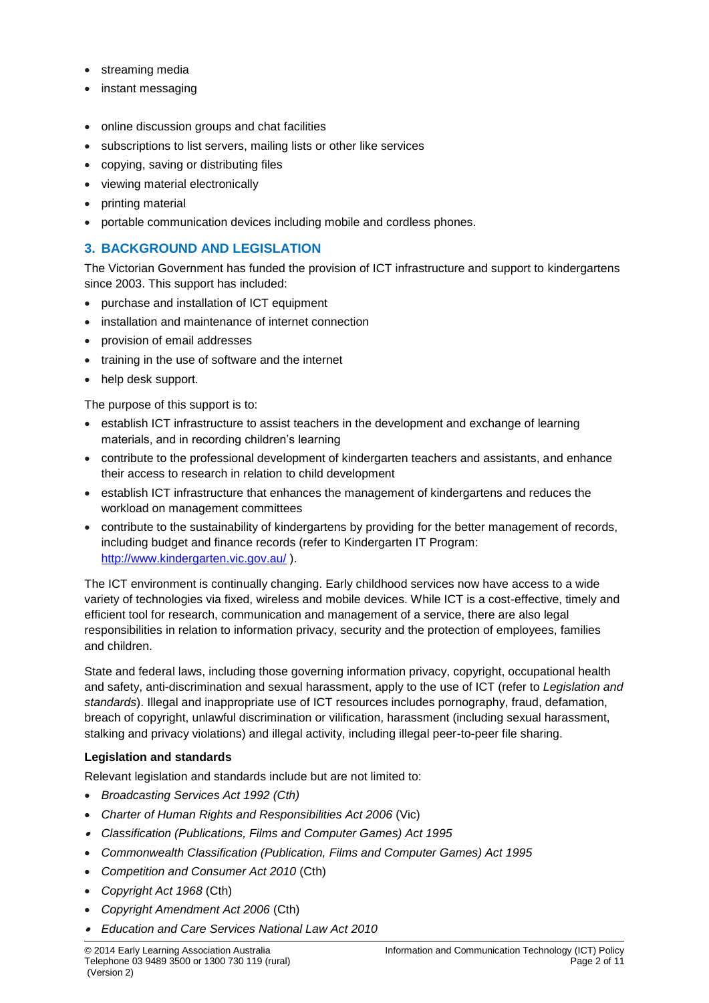- streaming media
- instant messaging
- online discussion groups and chat facilities
- subscriptions to list servers, mailing lists or other like services
- copying, saving or distributing files
- viewing material electronically
- printing material
- portable communication devices including mobile and cordless phones.

## **3. BACKGROUND AND LEGISLATION**

The Victorian Government has funded the provision of ICT infrastructure and support to kindergartens since 2003. This support has included:

- purchase and installation of ICT equipment
- installation and maintenance of internet connection
- provision of email addresses
- training in the use of software and the internet
- help desk support.

The purpose of this support is to:

- establish ICT infrastructure to assist teachers in the development and exchange of learning materials, and in recording children's learning
- contribute to the professional development of kindergarten teachers and assistants, and enhance their access to research in relation to child development
- establish ICT infrastructure that enhances the management of kindergartens and reduces the workload on management committees
- contribute to the sustainability of kindergartens by providing for the better management of records, including budget and finance records (refer to Kindergarten IT Program: <http://www.kindergarten.vic.gov.au/> ).

The ICT environment is continually changing. Early childhood services now have access to a wide variety of technologies via fixed, wireless and mobile devices. While ICT is a cost-effective, timely and efficient tool for research, communication and management of a service, there are also legal responsibilities in relation to information privacy, security and the protection of employees, families and children.

State and federal laws, including those governing information privacy, copyright, occupational health and safety, anti-discrimination and sexual harassment, apply to the use of ICT (refer to *Legislation and standards*). Illegal and inappropriate use of ICT resources includes pornography, fraud, defamation, breach of copyright, unlawful discrimination or vilification, harassment (including sexual harassment, stalking and privacy violations) and illegal activity, including illegal peer-to-peer file sharing.

#### **Legislation and standards**

Relevant legislation and standards include but are not limited to:

- *Broadcasting Services Act 1992 (Cth)*
- *Charter of Human Rights and Responsibilities Act 2006* (Vic)
- *Classification (Publications, Films and Computer Games) Act 1995*
- *Commonwealth Classification (Publication, Films and Computer Games) Act 1995*
- *Competition and Consumer Act 2010* (Cth)
- *Copyright Act 1968* (Cth)
- *Copyright Amendment Act 2006* (Cth)
- *Education and Care Services National Law Act 2010*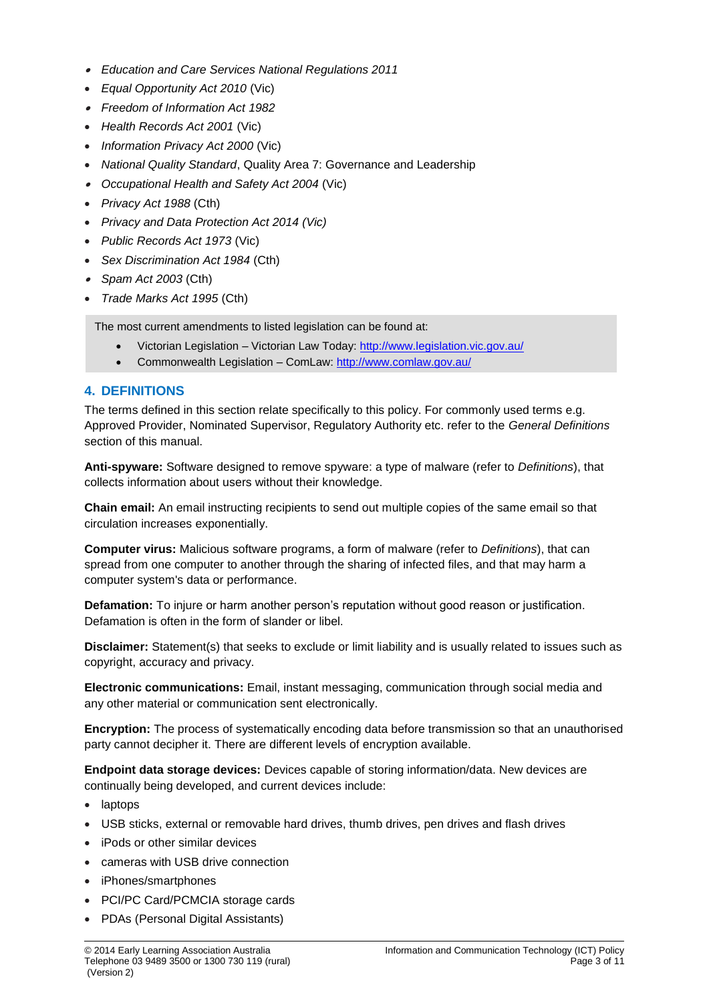- *Education and Care Services National Regulations 2011*
- *Equal Opportunity Act 2010* (Vic)
- *Freedom of Information Act 1982*
- *Health Records Act 2001* (Vic)
- *Information Privacy Act 2000* (Vic)
- *National Quality Standard*, Quality Area 7: Governance and Leadership
- *Occupational Health and Safety Act 2004* (Vic)
- *Privacy Act 1988* (Cth)
- *Privacy and Data Protection Act 2014 (Vic)*
- *Public Records Act 1973* (Vic)
- *Sex Discrimination Act 1984* (Cth)
- *Spam Act 2003* (Cth)
- *Trade Marks Act 1995* (Cth)

The most current amendments to listed legislation can be found at:

- Victorian Legislation Victorian Law Today:<http://www.legislation.vic.gov.au/>
- Commonwealth Legislation ComLaw:<http://www.comlaw.gov.au/>

### **4. DEFINITIONS**

The terms defined in this section relate specifically to this policy. For commonly used terms e.g. Approved Provider, Nominated Supervisor, Regulatory Authority etc. refer to the *General Definitions* section of this manual.

**Anti-spyware:** Software designed to remove spyware: a type of malware (refer to *Definitions*), that collects information about users without their knowledge.

**Chain email:** An email instructing recipients to send out multiple copies of the same email so that circulation increases exponentially.

**Computer virus:** Malicious software programs, a form of malware (refer to *Definitions*), that can spread from one computer to another through the sharing of infected files, and that may harm a computer system's data or performance.

**Defamation:** To injure or harm another person's reputation without good reason or justification. Defamation is often in the form of slander or libel.

**Disclaimer:** Statement(s) that seeks to exclude or limit liability and is usually related to issues such as copyright, accuracy and privacy.

**Electronic communications:** Email, instant messaging, communication through social media and any other material or communication sent electronically.

**Encryption:** The process of systematically encoding data before transmission so that an unauthorised party cannot decipher it. There are different levels of encryption available.

**Endpoint data storage devices:** Devices capable of storing information/data. New devices are continually being developed, and current devices include:

- laptops
- USB sticks, external or removable hard drives, thumb drives, pen drives and flash drives
- iPods or other similar devices
- cameras with USB drive connection
- iPhones/smartphones
- PCI/PC Card/PCMCIA storage cards
- PDAs (Personal Digital Assistants)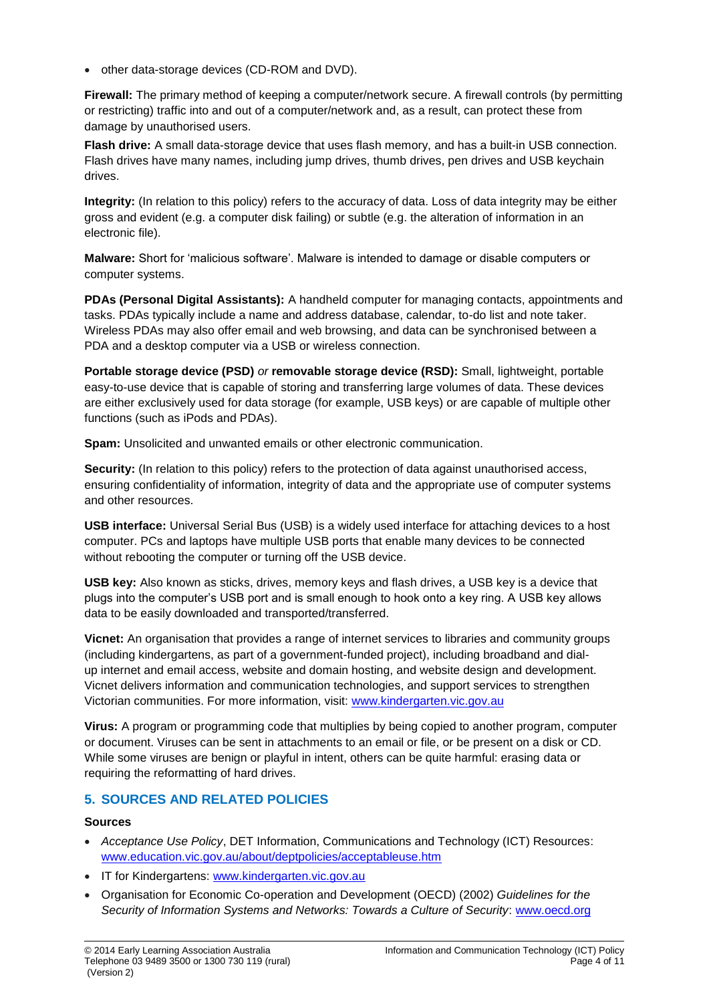• other data-storage devices (CD-ROM and DVD).

**Firewall:** The primary method of keeping a computer/network secure. A firewall controls (by permitting or restricting) traffic into and out of a computer/network and, as a result, can protect these from damage by unauthorised users.

**Flash drive:** A small data-storage device that uses flash memory, and has a built-in USB connection. Flash drives have many names, including jump drives, thumb drives, pen drives and USB keychain drives.

**Integrity:** (In relation to this policy) refers to the accuracy of data. Loss of data integrity may be either gross and evident (e.g. a computer disk failing) or subtle (e.g. the alteration of information in an electronic file).

**Malware:** Short for 'malicious software'. Malware is intended to damage or disable computers or computer systems.

**PDAs (Personal Digital Assistants):** A handheld computer for managing contacts, appointments and tasks. PDAs typically include a name and address database, calendar, to-do list and note taker. Wireless PDAs may also offer email and web browsing, and data can be synchronised between a PDA and a desktop computer via a USB or wireless connection.

**Portable storage device (PSD)** *or* **removable storage device (RSD):** Small, lightweight, portable easy-to-use device that is capable of storing and transferring large volumes of data. These devices are either exclusively used for data storage (for example, USB keys) or are capable of multiple other functions (such as iPods and PDAs).

**Spam:** Unsolicited and unwanted emails or other electronic communication.

**Security:** (In relation to this policy) refers to the protection of data against unauthorised access, ensuring confidentiality of information, integrity of data and the appropriate use of computer systems and other resources.

**USB interface:** Universal Serial Bus (USB) is a widely used interface for attaching devices to a host computer. PCs and laptops have multiple USB ports that enable many devices to be connected without rebooting the computer or turning off the USB device.

**USB key:** Also known as sticks, drives, memory keys and flash drives, a USB key is a device that plugs into the computer's USB port and is small enough to hook onto a key ring. A USB key allows data to be easily downloaded and transported/transferred.

**Vicnet:** An organisation that provides a range of internet services to libraries and community groups (including kindergartens, as part of a government-funded project), including broadband and dialup internet and email access, website and domain hosting, and website design and development. Vicnet delivers information and communication technologies, and support services to strengthen Victorian communities. For more information, visit: [www.kindergarten.vic.gov.au](http://www.kindergarten.vic.gov.au/)

**Virus:** A program or programming code that multiplies by being copied to another program, computer or document. Viruses can be sent in attachments to an email or file, or be present on a disk or CD. While some viruses are benign or playful in intent, others can be quite harmful: erasing data or requiring the reformatting of hard drives.

## **5. SOURCES AND RELATED POLICIES**

#### **Sources**

- *Acceptance Use Policy*, DET Information, Communications and Technology (ICT) Resources: [www.education.vic.gov.au/about/deptpolicies/acceptableuse.htm](http://www.education.vic.gov.au/about/deptpolicies/acceptableuse.htm)
- IT for Kindergartens: [www.kindergarten.vic.gov.au](http://www.kindergarten.vic.gov.au/)
- Organisation for Economic Co-operation and Development (OECD) (2002) *Guidelines for the Security of Information Systems and Networks: Towards a Culture of Security*: [www.oecd.org](http://www.oecd.org/)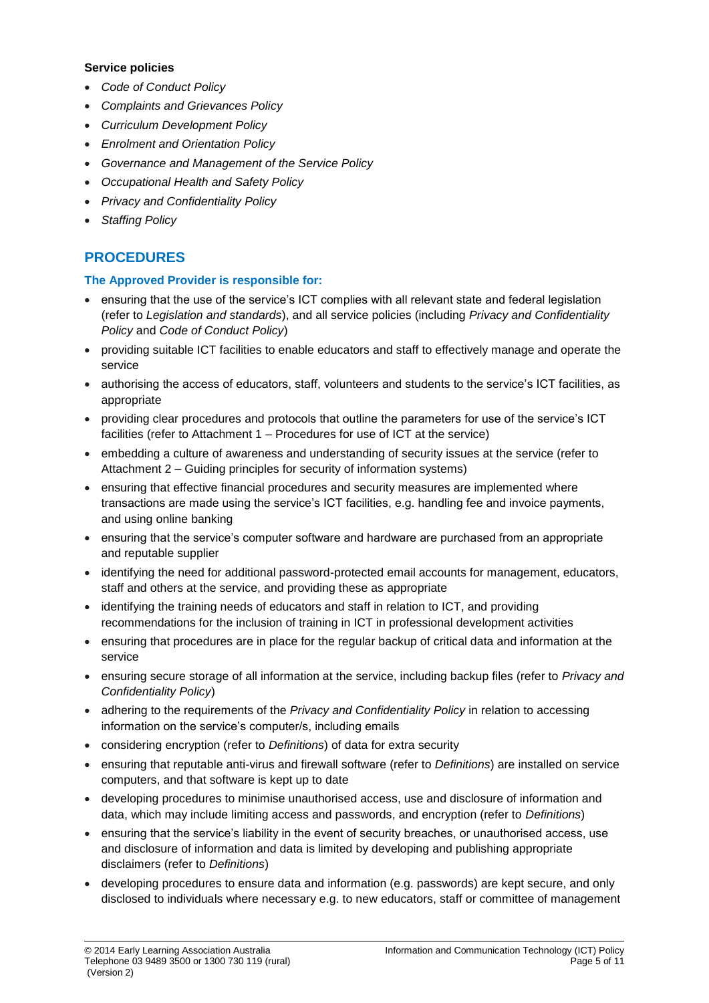#### **Service policies**

- *Code of Conduct Policy*
- *Complaints and Grievances Policy*
- *Curriculum Development Policy*
- *Enrolment and Orientation Policy*
- *Governance and Management of the Service Policy*
- *Occupational Health and Safety Policy*
- *Privacy and Confidentiality Policy*
- *Staffing Policy*

# **PROCEDURES**

#### **The Approved Provider is responsible for:**

- ensuring that the use of the service's ICT complies with all relevant state and federal legislation (refer to *Legislation and standards*), and all service policies (including *Privacy and Confidentiality Policy* and *Code of Conduct Policy*)
- providing suitable ICT facilities to enable educators and staff to effectively manage and operate the service
- authorising the access of educators, staff, volunteers and students to the service's ICT facilities, as appropriate
- providing clear procedures and protocols that outline the parameters for use of the service's ICT facilities (refer to Attachment 1 – Procedures for use of ICT at the service)
- embedding a culture of awareness and understanding of security issues at the service (refer to Attachment 2 – Guiding principles for security of information systems)
- ensuring that effective financial procedures and security measures are implemented where transactions are made using the service's ICT facilities, e.g. handling fee and invoice payments, and using online banking
- ensuring that the service's computer software and hardware are purchased from an appropriate and reputable supplier
- identifying the need for additional password-protected email accounts for management, educators, staff and others at the service, and providing these as appropriate
- identifying the training needs of educators and staff in relation to ICT, and providing recommendations for the inclusion of training in ICT in professional development activities
- ensuring that procedures are in place for the regular backup of critical data and information at the service
- ensuring secure storage of all information at the service, including backup files (refer to *Privacy and Confidentiality Policy*)
- adhering to the requirements of the *Privacy and Confidentiality Policy* in relation to accessing information on the service's computer/s, including emails
- considering encryption (refer to *Definitions*) of data for extra security
- ensuring that reputable anti-virus and firewall software (refer to *Definitions*) are installed on service computers, and that software is kept up to date
- developing procedures to minimise unauthorised access, use and disclosure of information and data, which may include limiting access and passwords, and encryption (refer to *Definitions*)
- ensuring that the service's liability in the event of security breaches, or unauthorised access, use and disclosure of information and data is limited by developing and publishing appropriate disclaimers (refer to *Definitions*)
- developing procedures to ensure data and information (e.g. passwords) are kept secure, and only disclosed to individuals where necessary e.g. to new educators, staff or committee of management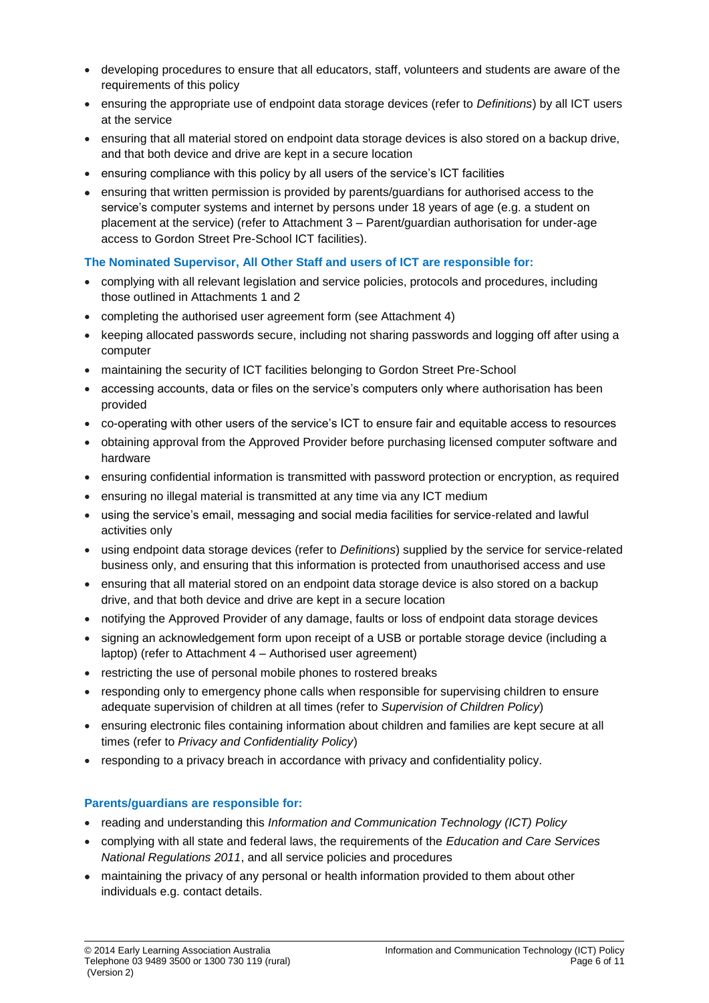- developing procedures to ensure that all educators, staff, volunteers and students are aware of the requirements of this policy
- ensuring the appropriate use of endpoint data storage devices (refer to *Definitions*) by all ICT users at the service
- ensuring that all material stored on endpoint data storage devices is also stored on a backup drive, and that both device and drive are kept in a secure location
- ensuring compliance with this policy by all users of the service's ICT facilities
- ensuring that written permission is provided by parents/guardians for authorised access to the service's computer systems and internet by persons under 18 years of age (e.g. a student on placement at the service) (refer to Attachment 3 – Parent/guardian authorisation for under-age access to Gordon Street Pre-School ICT facilities).

#### **The Nominated Supervisor, All Other Staff and users of ICT are responsible for:**

- complying with all relevant legislation and service policies, protocols and procedures, including those outlined in Attachments 1 and 2
- completing the authorised user agreement form (see Attachment 4)
- keeping allocated passwords secure, including not sharing passwords and logging off after using a computer
- maintaining the security of ICT facilities belonging to Gordon Street Pre-School
- accessing accounts, data or files on the service's computers only where authorisation has been provided
- co-operating with other users of the service's ICT to ensure fair and equitable access to resources
- obtaining approval from the Approved Provider before purchasing licensed computer software and hardware
- ensuring confidential information is transmitted with password protection or encryption, as required
- ensuring no illegal material is transmitted at any time via any ICT medium
- using the service's email, messaging and social media facilities for service-related and lawful activities only
- using endpoint data storage devices (refer to *Definitions*) supplied by the service for service-related business only, and ensuring that this information is protected from unauthorised access and use
- ensuring that all material stored on an endpoint data storage device is also stored on a backup drive, and that both device and drive are kept in a secure location
- notifying the Approved Provider of any damage, faults or loss of endpoint data storage devices
- signing an acknowledgement form upon receipt of a USB or portable storage device (including a laptop) (refer to Attachment 4 – Authorised user agreement)
- restricting the use of personal mobile phones to rostered breaks
- responding only to emergency phone calls when responsible for supervising children to ensure adequate supervision of children at all times (refer to *Supervision of Children Policy*)
- ensuring electronic files containing information about children and families are kept secure at all times (refer to *Privacy and Confidentiality Policy*)
- responding to a privacy breach in accordance with privacy and confidentiality policy.

#### **Parents/guardians are responsible for:**

- reading and understanding this *Information and Communication Technology (ICT) Policy*
- complying with all state and federal laws, the requirements of the *Education and Care Services National Regulations 2011*, and all service policies and procedures
- maintaining the privacy of any personal or health information provided to them about other individuals e.g. contact details.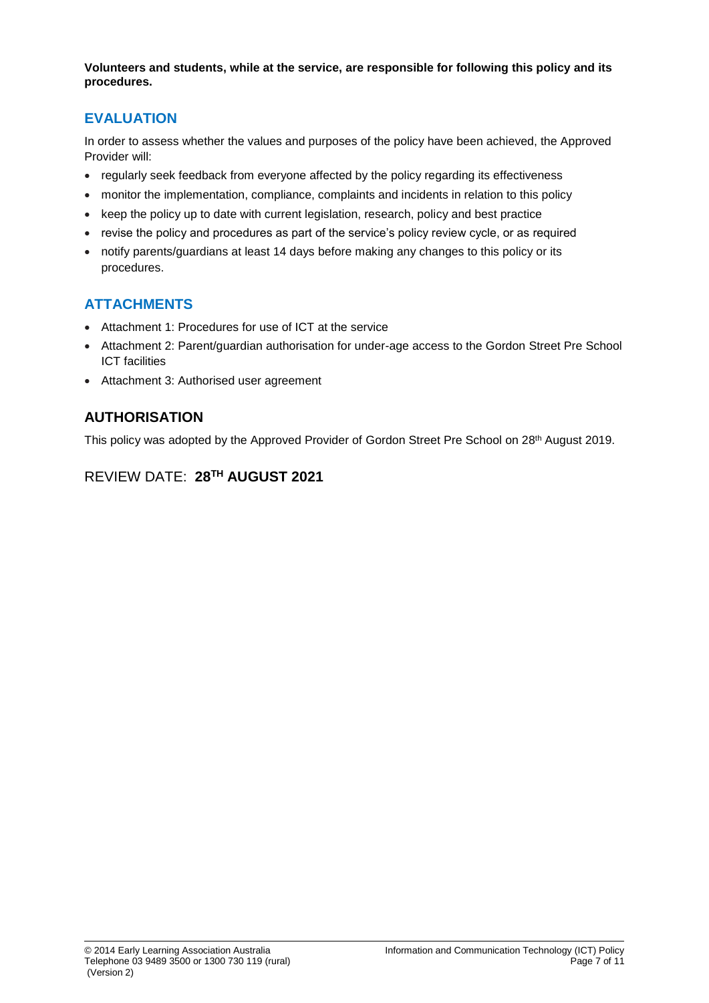**Volunteers and students, while at the service, are responsible for following this policy and its procedures.**

# **EVALUATION**

In order to assess whether the values and purposes of the policy have been achieved, the Approved Provider will:

- regularly seek feedback from everyone affected by the policy regarding its effectiveness
- monitor the implementation, compliance, complaints and incidents in relation to this policy
- keep the policy up to date with current legislation, research, policy and best practice
- revise the policy and procedures as part of the service's policy review cycle, or as required
- notify parents/guardians at least 14 days before making any changes to this policy or its procedures.

# **ATTACHMENTS**

- Attachment 1: Procedures for use of ICT at the service
- Attachment 2: Parent/guardian authorisation for under-age access to the Gordon Street Pre School ICT facilities
- Attachment 3: Authorised user agreement

# **AUTHORISATION**

This policy was adopted by the Approved Provider of Gordon Street Pre School on 28<sup>th</sup> August 2019.

# REVIEW DATE: **28 TH AUGUST 2021**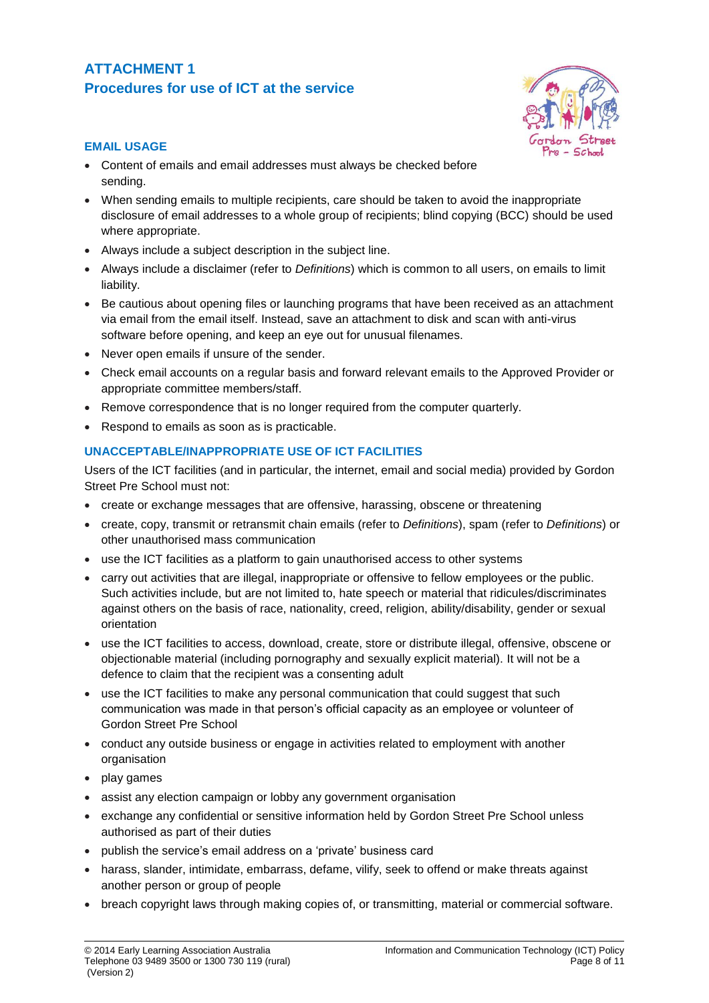# **ATTACHMENT 1 Procedures for use of ICT at the service**



#### **EMAIL USAGE**

- Content of emails and email addresses must always be checked before sending.
- When sending emails to multiple recipients, care should be taken to avoid the inappropriate disclosure of email addresses to a whole group of recipients; blind copying (BCC) should be used where appropriate.
- Always include a subject description in the subject line.
- Always include a disclaimer (refer to *Definitions*) which is common to all users, on emails to limit liability.
- Be cautious about opening files or launching programs that have been received as an attachment via email from the email itself. Instead, save an attachment to disk and scan with anti-virus software before opening, and keep an eye out for unusual filenames.
- Never open emails if unsure of the sender.
- Check email accounts on a regular basis and forward relevant emails to the Approved Provider or appropriate committee members/staff.
- Remove correspondence that is no longer required from the computer quarterly.
- Respond to emails as soon as is practicable.

### **UNACCEPTABLE/INAPPROPRIATE USE OF ICT FACILITIES**

Users of the ICT facilities (and in particular, the internet, email and social media) provided by Gordon Street Pre School must not:

- create or exchange messages that are offensive, harassing, obscene or threatening
- create, copy, transmit or retransmit chain emails (refer to *Definitions*), spam (refer to *Definitions*) or other unauthorised mass communication
- use the ICT facilities as a platform to gain unauthorised access to other systems
- carry out activities that are illegal, inappropriate or offensive to fellow employees or the public. Such activities include, but are not limited to, hate speech or material that ridicules/discriminates against others on the basis of race, nationality, creed, religion, ability/disability, gender or sexual orientation
- use the ICT facilities to access, download, create, store or distribute illegal, offensive, obscene or objectionable material (including pornography and sexually explicit material). It will not be a defence to claim that the recipient was a consenting adult
- use the ICT facilities to make any personal communication that could suggest that such communication was made in that person's official capacity as an employee or volunteer of Gordon Street Pre School
- conduct any outside business or engage in activities related to employment with another organisation
- play games
- assist any election campaign or lobby any government organisation
- exchange any confidential or sensitive information held by Gordon Street Pre School unless authorised as part of their duties
- publish the service's email address on a 'private' business card
- harass, slander, intimidate, embarrass, defame, vilify, seek to offend or make threats against another person or group of people
- breach copyright laws through making copies of, or transmitting, material or commercial software.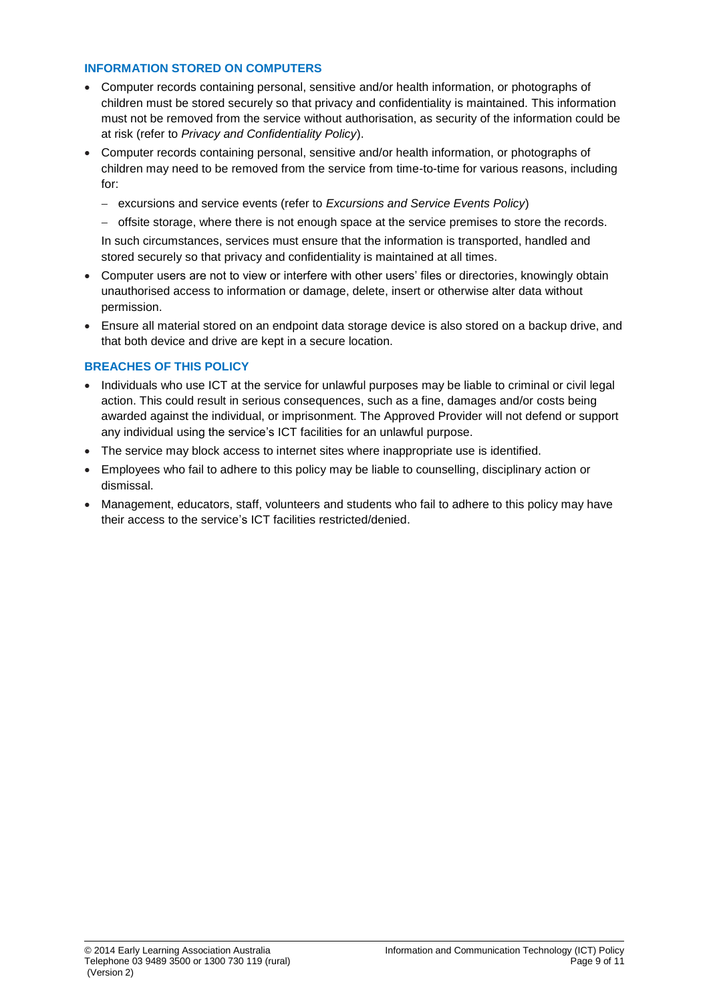#### **INFORMATION STORED ON COMPUTERS**

- Computer records containing personal, sensitive and/or health information, or photographs of children must be stored securely so that privacy and confidentiality is maintained. This information must not be removed from the service without authorisation, as security of the information could be at risk (refer to *Privacy and Confidentiality Policy*).
- Computer records containing personal, sensitive and/or health information, or photographs of children may need to be removed from the service from time-to-time for various reasons, including for:
	- − excursions and service events (refer to *Excursions and Service Events Policy*)
	- − offsite storage, where there is not enough space at the service premises to store the records.

In such circumstances, services must ensure that the information is transported, handled and stored securely so that privacy and confidentiality is maintained at all times.

- Computer users are not to view or interfere with other users' files or directories, knowingly obtain unauthorised access to information or damage, delete, insert or otherwise alter data without permission.
- Ensure all material stored on an endpoint data storage device is also stored on a backup drive, and that both device and drive are kept in a secure location.

### **BREACHES OF THIS POLICY**

- Individuals who use ICT at the service for unlawful purposes may be liable to criminal or civil legal action. This could result in serious consequences, such as a fine, damages and/or costs being awarded against the individual, or imprisonment. The Approved Provider will not defend or support any individual using the service's ICT facilities for an unlawful purpose.
- The service may block access to internet sites where inappropriate use is identified.
- Employees who fail to adhere to this policy may be liable to counselling, disciplinary action or dismissal.
- Management, educators, staff, volunteers and students who fail to adhere to this policy may have their access to the service's ICT facilities restricted/denied.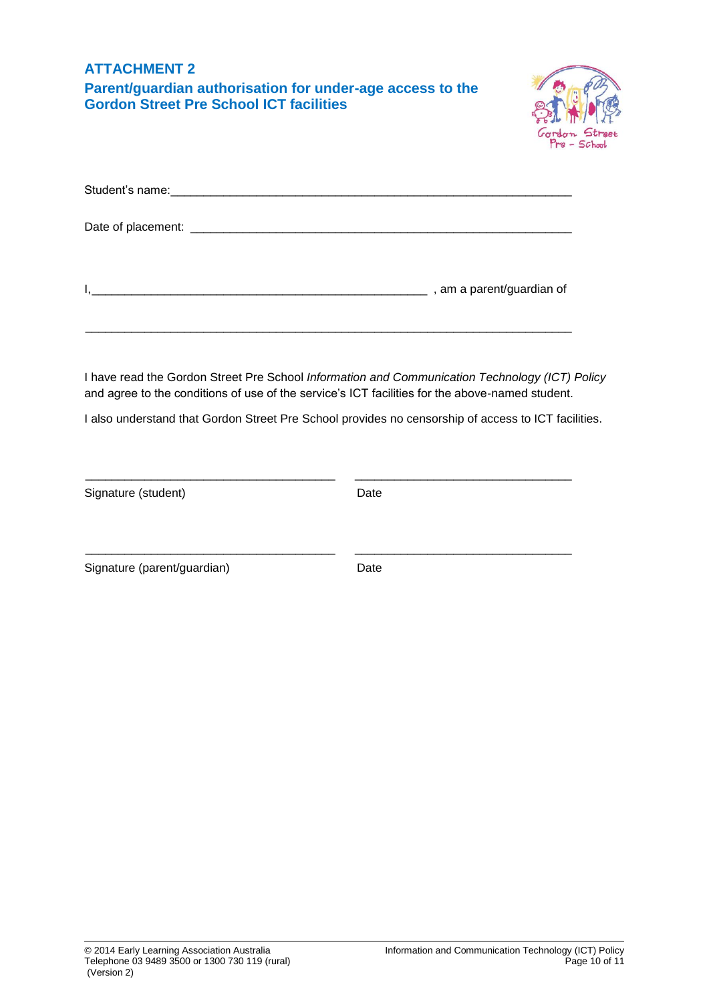| <b>ATTACHMENT 2</b><br>Parent/guardian authorisation for under-age access to the<br><b>Gordon Street Pre School ICT facilities</b>                                                                                                                                                                       |      |  |
|----------------------------------------------------------------------------------------------------------------------------------------------------------------------------------------------------------------------------------------------------------------------------------------------------------|------|--|
|                                                                                                                                                                                                                                                                                                          |      |  |
|                                                                                                                                                                                                                                                                                                          |      |  |
|                                                                                                                                                                                                                                                                                                          |      |  |
| I have read the Gordon Street Pre School Information and Communication Technology (ICT) Policy<br>and agree to the conditions of use of the service's ICT facilities for the above-named student.<br>I also understand that Gordon Street Pre School provides no censorship of access to ICT facilities. |      |  |
|                                                                                                                                                                                                                                                                                                          |      |  |
| Signature (student)                                                                                                                                                                                                                                                                                      | Date |  |
| Signature (parent/guardian)                                                                                                                                                                                                                                                                              | Date |  |